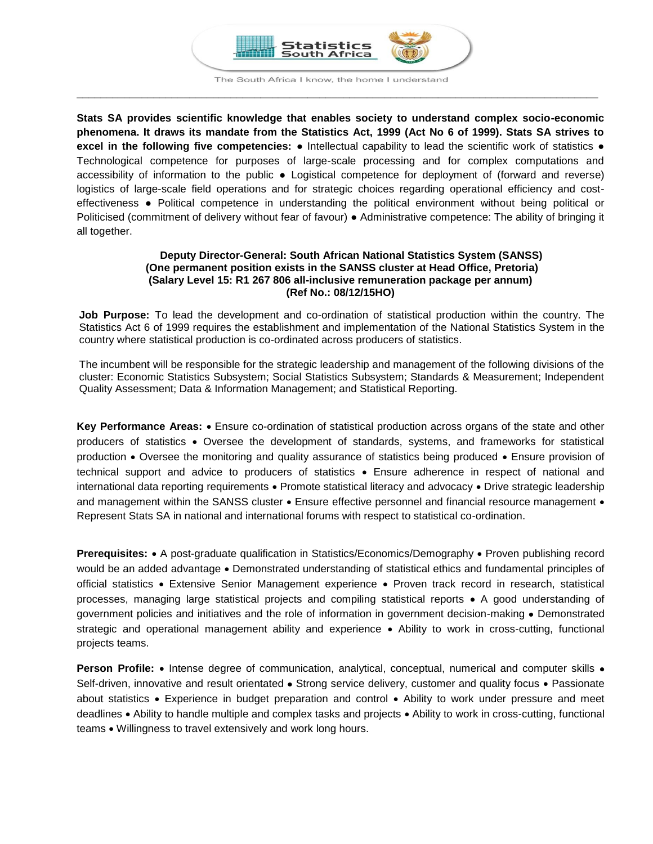

The South Africa I know, the home I understand **\_\_\_\_\_\_\_\_\_\_\_\_\_\_\_\_\_\_\_\_\_\_\_\_\_\_\_\_\_\_\_\_\_\_\_\_\_\_\_\_\_\_\_\_\_\_\_\_\_\_\_\_\_\_\_\_\_\_\_\_\_\_\_\_\_\_\_\_\_\_\_\_\_\_\_\_\_\_\_\_\_\_\_\_\_\_\_\_**

**Stats SA provides scientific knowledge that enables society to understand complex socio-economic phenomena. It draws its mandate from the Statistics Act, 1999 (Act No 6 of 1999). Stats SA strives to excel in the following five competencies:** ● Intellectual capability to lead the scientific work of statistics ● Technological competence for purposes of large-scale processing and for complex computations and accessibility of information to the public ● Logistical competence for deployment of (forward and reverse) logistics of large-scale field operations and for strategic choices regarding operational efficiency and costeffectiveness ● Political competence in understanding the political environment without being political or Politicised (commitment of delivery without fear of favour) ● Administrative competence: The ability of bringing it all together.

## **Deputy Director-General: South African National Statistics System (SANSS) (One permanent position exists in the SANSS cluster at Head Office, Pretoria) (Salary Level 15: R1 267 806 all-inclusive remuneration package per annum) (Ref No.: 08/12/15HO)**

**Job Purpose:** To lead the development and co-ordination of statistical production within the country. The Statistics Act 6 of 1999 requires the establishment and implementation of the National Statistics System in the country where statistical production is co-ordinated across producers of statistics.

The incumbent will be responsible for the strategic leadership and management of the following divisions of the cluster: Economic Statistics Subsystem; Social Statistics Subsystem; Standards & Measurement; Independent Quality Assessment; Data & Information Management; and Statistical Reporting.

**Key Performance Areas:**  Ensure co-ordination of statistical production across organs of the state and other producers of statistics Oversee the development of standards, systems, and frameworks for statistical production • Oversee the monitoring and quality assurance of statistics being produced • Ensure provision of technical support and advice to producers of statistics Ensure adherence in respect of national and international data reporting requirements • Promote statistical literacy and advocacy • Drive strategic leadership and management within the SANSS cluster  $\bullet$  Ensure effective personnel and financial resource management  $\bullet$ Represent Stats SA in national and international forums with respect to statistical co-ordination.

**Prerequisites:** • A post-graduate qualification in Statistics/Economics/Demography • Proven publishing record would be an added advantage . Demonstrated understanding of statistical ethics and fundamental principles of official statistics Extensive Senior Management experience Proven track record in research, statistical processes, managing large statistical projects and compiling statistical reports • A good understanding of government policies and initiatives and the role of information in government decision-making • Demonstrated strategic and operational management ability and experience • Ability to work in cross-cutting, functional projects teams.

**Person Profile:** • Intense degree of communication, analytical, conceptual, numerical and computer skills • Self-driven, innovative and result orientated • Strong service delivery, customer and quality focus • Passionate about statistics • Experience in budget preparation and control • Ability to work under pressure and meet deadlines • Ability to handle multiple and complex tasks and projects • Ability to work in cross-cutting, functional teams • Willingness to travel extensively and work long hours.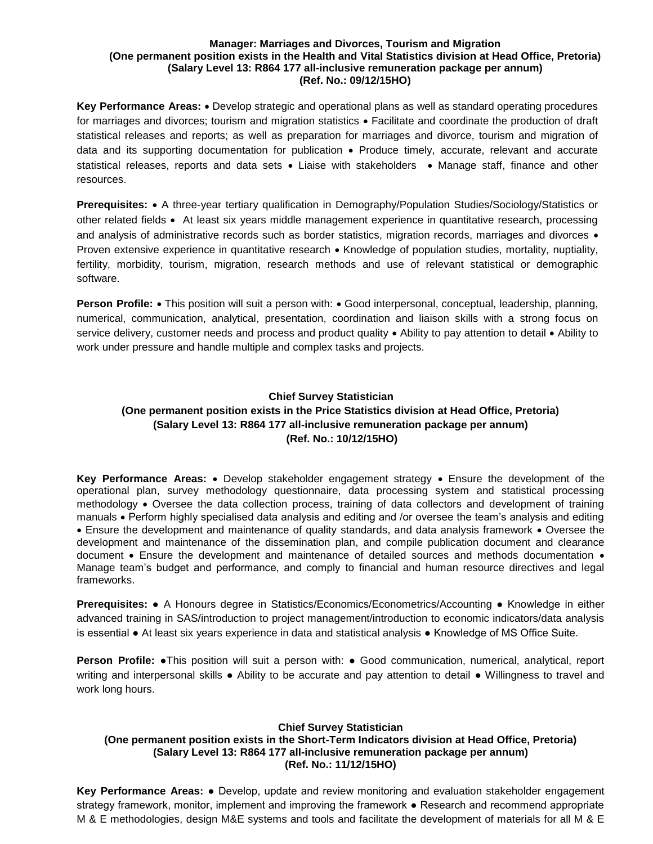### **Manager: Marriages and Divorces, Tourism and Migration (One permanent position exists in the Health and Vital Statistics division at Head Office, Pretoria) (Salary Level 13: R864 177 all-inclusive remuneration package per annum) (Ref. No.: 09/12/15HO)**

Key Performance Areas: • Develop strategic and operational plans as well as standard operating procedures for marriages and divorces; tourism and migration statistics • Facilitate and coordinate the production of draft statistical releases and reports; as well as preparation for marriages and divorce, tourism and migration of data and its supporting documentation for publication • Produce timely, accurate, relevant and accurate statistical releases, reports and data sets . Liaise with stakeholders . Manage staff, finance and other resources.

**Prerequisites:** • A three-year tertiary qualification in Demography/Population Studies/Sociology/Statistics or other related fields • At least six years middle management experience in quantitative research, processing and analysis of administrative records such as border statistics, migration records, marriages and divorces • Proven extensive experience in quantitative research • Knowledge of population studies, mortality, nuptiality, fertility, morbidity, tourism, migration, research methods and use of relevant statistical or demographic software.

**Person Profile:** • This position will suit a person with: • Good interpersonal, conceptual, leadership, planning, numerical, communication, analytical, presentation, coordination and liaison skills with a strong focus on service delivery, customer needs and process and product quality  $\bullet$  Ability to pay attention to detail  $\bullet$  Ability to work under pressure and handle multiple and complex tasks and projects.

# **Chief Survey Statistician (One permanent position exists in the Price Statistics division at Head Office, Pretoria) (Salary Level 13: R864 177 all-inclusive remuneration package per annum) (Ref. No.: 10/12/15HO)**

**Key Performance Areas:** • Develop stakeholder engagement strategy • Ensure the development of the operational plan, survey methodology questionnaire, data processing system and statistical processing methodology • Oversee the data collection process, training of data collectors and development of training manuals Perform highly specialised data analysis and editing and /or oversee the team's analysis and editing • Ensure the development and maintenance of quality standards, and data analysis framework • Oversee the development and maintenance of the dissemination plan, and compile publication document and clearance document • Ensure the development and maintenance of detailed sources and methods documentation • Manage team's budget and performance, and comply to financial and human resource directives and legal frameworks.

**Prerequisites:** ● A Honours degree in Statistics/Economics/Econometrics/Accounting ● Knowledge in either advanced training in SAS/introduction to project management/introduction to economic indicators/data analysis is essential ● At least six years experience in data and statistical analysis ● Knowledge of MS Office Suite.

**Person Profile: •**This position will suit a person with: • Good communication, numerical, analytical, report writing and interpersonal skills ● Ability to be accurate and pay attention to detail ● Willingness to travel and work long hours.

# **Chief Survey Statistician**

# **(One permanent position exists in the Short-Term Indicators division at Head Office, Pretoria) (Salary Level 13: R864 177 all-inclusive remuneration package per annum) (Ref. No.: 11/12/15HO)**

**Key Performance Areas:** ● Develop, update and review monitoring and evaluation stakeholder engagement strategy framework, monitor, implement and improving the framework ● Research and recommend appropriate M & E methodologies, design M&E systems and tools and facilitate the development of materials for all M & E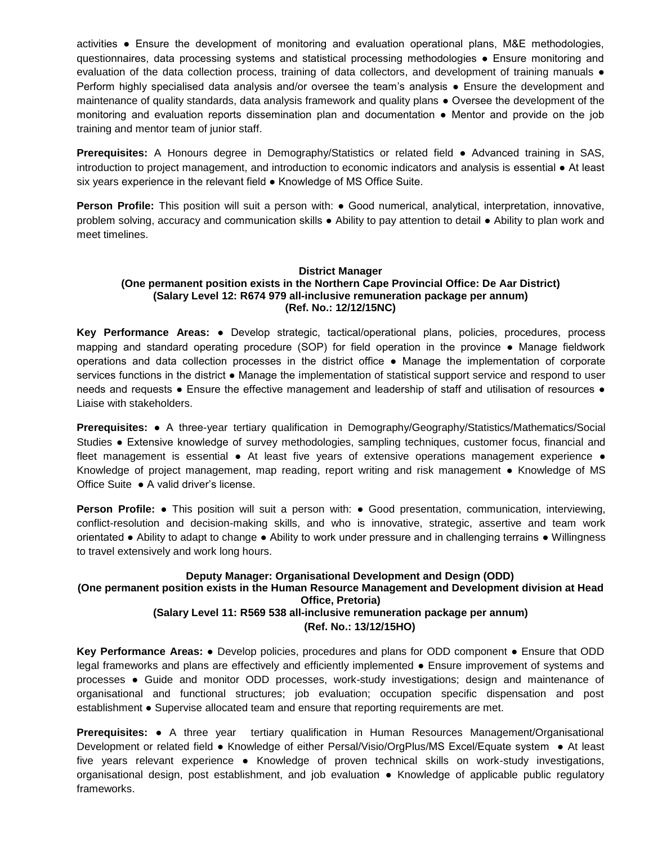activities ● Ensure the development of monitoring and evaluation operational plans, M&E methodologies, questionnaires, data processing systems and statistical processing methodologies ● Ensure monitoring and evaluation of the data collection process, training of data collectors, and development of training manuals ● Perform highly specialised data analysis and/or oversee the team's analysis ● Ensure the development and maintenance of quality standards, data analysis framework and quality plans ● Oversee the development of the monitoring and evaluation reports dissemination plan and documentation ● Mentor and provide on the job training and mentor team of junior staff.

**Prerequisites:** A Honours degree in Demography/Statistics or related field ● Advanced training in SAS, introduction to project management, and introduction to economic indicators and analysis is essential ● At least six years experience in the relevant field ● Knowledge of MS Office Suite.

**Person Profile:** This position will suit a person with: ● Good numerical, analytical, interpretation, innovative, problem solving, accuracy and communication skills ● Ability to pay attention to detail ● Ability to plan work and meet timelines.

### **District Manager (One permanent position exists in the Northern Cape Provincial Office: De Aar District) (Salary Level 12: R674 979 all-inclusive remuneration package per annum) (Ref. No.: 12/12/15NC)**

**Key Performance Areas:** ● Develop strategic, tactical/operational plans, policies, procedures, process mapping and standard operating procedure (SOP) for field operation in the province ● Manage fieldwork operations and data collection processes in the district office ● Manage the implementation of corporate services functions in the district ● Manage the implementation of statistical support service and respond to user needs and requests • Ensure the effective management and leadership of staff and utilisation of resources • Liaise with stakeholders.

**Prerequisites:** ● A three-year tertiary qualification in Demography/Geography/Statistics/Mathematics/Social Studies ● Extensive knowledge of survey methodologies, sampling techniques, customer focus, financial and fleet management is essential • At least five years of extensive operations management experience • Knowledge of project management, map reading, report writing and risk management ● Knowledge of MS Office Suite ● A valid driver's license.

**Person Profile: •** This position will suit a person with: • Good presentation, communication, interviewing, conflict-resolution and decision-making skills, and who is innovative, strategic, assertive and team work orientated ● Ability to adapt to change ● Ability to work under pressure and in challenging terrains ● Willingness to travel extensively and work long hours.

# **Deputy Manager: Organisational Development and Design (ODD) (One permanent position exists in the Human Resource Management and Development division at Head Office, Pretoria) (Salary Level 11: R569 538 all-inclusive remuneration package per annum) (Ref. No.: 13/12/15HO)**

**Key Performance Areas:** ● Develop policies, procedures and plans for ODD component ● Ensure that ODD legal frameworks and plans are effectively and efficiently implemented ● Ensure improvement of systems and processes ● Guide and monitor ODD processes, work-study investigations; design and maintenance of organisational and functional structures; job evaluation; occupation specific dispensation and post establishment ● Supervise allocated team and ensure that reporting requirements are met.

**Prerequisites:** ● A three year tertiary qualification in Human Resources Management/Organisational Development or related field ● Knowledge of either Persal/Visio/OrgPlus/MS Excel/Equate system ● At least five years relevant experience • Knowledge of proven technical skills on work-study investigations, organisational design, post establishment, and job evaluation ● Knowledge of applicable public regulatory frameworks.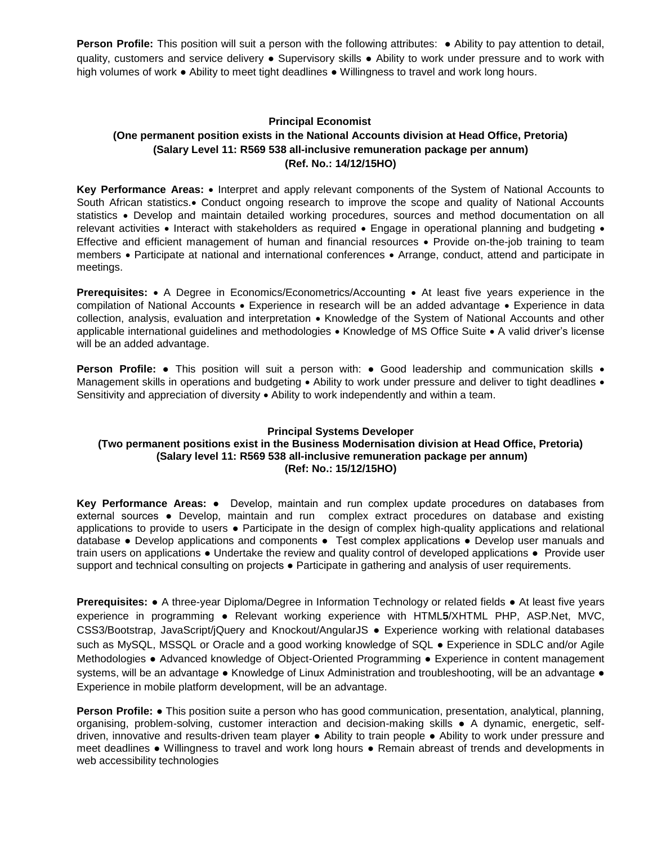**Person Profile:** This position will suit a person with the following attributes: ● Ability to pay attention to detail, quality, customers and service delivery ● Supervisory skills ● Ability to work under pressure and to work with high volumes of work ● Ability to meet tight deadlines ● Willingness to travel and work long hours.

# **Principal Economist (One permanent position exists in the National Accounts division at Head Office, Pretoria) (Salary Level 11: R569 538 all-inclusive remuneration package per annum) (Ref. No.: 14/12/15HO)**

Key Performance Areas: • Interpret and apply relevant components of the System of National Accounts to South African statistics. Conduct ongoing research to improve the scope and quality of National Accounts statistics • Develop and maintain detailed working procedures, sources and method documentation on all relevant activities • Interact with stakeholders as required • Engage in operational planning and budgeting • Effective and efficient management of human and financial resources • Provide on-the-job training to team members • Participate at national and international conferences • Arrange, conduct, attend and participate in meetings.

**Prerequisites:** • A Degree in Economics/Econometrics/Accounting • At least five years experience in the compilation of National Accounts • Experience in research will be an added advantage • Experience in data collection, analysis, evaluation and interpretation • Knowledge of the System of National Accounts and other applicable international guidelines and methodologies • Knowledge of MS Office Suite • A valid driver's license will be an added advantage.

**Person Profile:** • This position will suit a person with: • Good leadership and communication skills • Management skills in operations and budgeting  $\bullet$  Ability to work under pressure and deliver to tight deadlines  $\bullet$ Sensitivity and appreciation of diversity  $\bullet$  Ability to work independently and within a team.

# **Principal Systems Developer**

# **(Two permanent positions exist in the Business Modernisation division at Head Office, Pretoria) (Salary level 11: R569 538 all-inclusive remuneration package per annum) (Ref: No.: 15/12/15HO)**

**Key Performance Areas:** ● Develop, maintain and run complex update procedures on databases from external sources ● Develop, maintain and run complex extract procedures on database and existing applications to provide to users ● Participate in the design of complex high-quality applications and relational database ● Develop applications and components ● Test complex applications ● Develop user manuals and train users on applications ● Undertake the review and quality control of developed applications ● Provide user support and technical consulting on projects • Participate in gathering and analysis of user requirements.

**Prerequisites:** ● A three-year Diploma/Degree in Information Technology or related fields ● At least five years experience in programming ● Relevant working experience with HTML**5**/XHTML PHP, ASP.Net, MVC, CSS3/Bootstrap, JavaScript/jQuery and Knockout/AngularJS ● Experience working with relational databases such as MySQL, MSSQL or Oracle and a good working knowledge of SQL ● Experience in SDLC and/or Agile Methodologies ● Advanced knowledge of Object-Oriented Programming ● Experience in content management systems, will be an advantage • Knowledge of Linux Administration and troubleshooting, will be an advantage • Experience in mobile platform development, will be an advantage.

**Person Profile:** ● This position suite a person who has good communication, presentation, analytical, planning, organising, problem-solving, customer interaction and decision-making skills ● A dynamic, energetic, selfdriven, innovative and results-driven team player ● Ability to train people ● Ability to work under pressure and meet deadlines ● Willingness to travel and work long hours ● Remain abreast of trends and developments in web accessibility technologies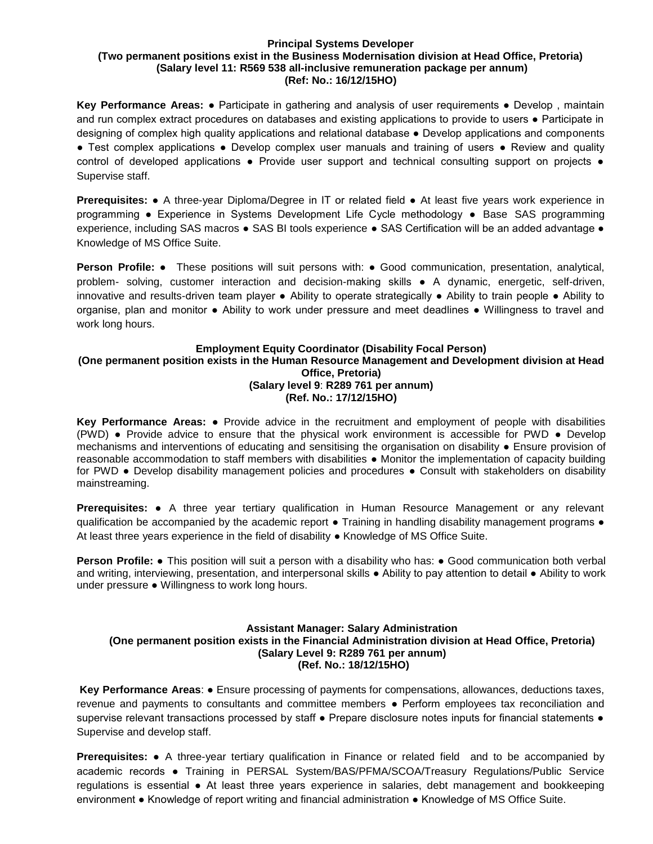#### **Principal Systems Developer (Two permanent positions exist in the Business Modernisation division at Head Office, Pretoria) (Salary level 11: R569 538 all-inclusive remuneration package per annum) (Ref: No.: 16/12/15HO)**

**Key Performance Areas:** ● Participate in gathering and analysis of user requirements ● Develop , maintain and run complex extract procedures on databases and existing applications to provide to users ● Participate in designing of complex high quality applications and relational database ● Develop applications and components ● Test complex applications ● Develop complex user manuals and training of users ● Review and quality control of developed applications • Provide user support and technical consulting support on projects • Supervise staff.

**Prerequisites:** ● A three-year Diploma/Degree in IT or related field ● At least five years work experience in programming ● Experience in Systems Development Life Cycle methodology **●** Base SAS programming experience, including SAS macros **●** SAS BI tools experience **●** SAS Certification will be an added advantage ● Knowledge of MS Office Suite.

**Person Profile:** ● These positions will suit persons with: ● Good communication, presentation, analytical, problem- solving, customer interaction and decision-making skills ● A dynamic, energetic, self-driven, innovative and results-driven team player ● Ability to operate strategically ● Ability to train people ● Ability to organise, plan and monitor ● Ability to work under pressure and meet deadlines ● Willingness to travel and work long hours.

### **Employment Equity Coordinator (Disability Focal Person) (One permanent position exists in the Human Resource Management and Development division at Head Office, Pretoria) (Salary level 9**: **R289 761 per annum) (Ref. No.: 17/12/15HO)**

**Key Performance Areas:** ● Provide advice in the recruitment and employment of people with disabilities (PWD) ● Provide advice to ensure that the physical work environment is accessible for PWD ● Develop mechanisms and interventions of educating and sensitising the organisation on disability ● Ensure provision of reasonable accommodation to staff members with disabilities ● Monitor the implementation of capacity building for PWD • Develop disability management policies and procedures • Consult with stakeholders on disability mainstreaming.

**Prerequisites:** ● A three year tertiary qualification in Human Resource Management or any relevant qualification be accompanied by the academic report • Training in handling disability management programs • At least three years experience in the field of disability ● Knowledge of MS Office Suite.

**Person Profile: •** This position will suit a person with a disability who has: • Good communication both verbal and writing, interviewing, presentation, and interpersonal skills ● Ability to pay attention to detail ● Ability to work under pressure ● Willingness to work long hours.

# **Assistant Manager: Salary Administration (One permanent position exists in the Financial Administration division at Head Office, Pretoria) (Salary Level 9: R289 761 per annum) (Ref. No.: 18/12/15HO)**

**Key Performance Areas**: ● Ensure processing of payments for compensations, allowances, deductions taxes, revenue and payments to consultants and committee members ● Perform employees tax reconciliation and supervise relevant transactions processed by staff • Prepare disclosure notes inputs for financial statements • Supervise and develop staff.

**Prerequisites:** ● A three-year tertiary qualification in Finance or related field and to be accompanied by academic records ● Training in PERSAL System/BAS/PFMA/SCOA/Treasury Regulations/Public Service regulations is essential ● At least three years experience in salaries, debt management and bookkeeping environment ● Knowledge of report writing and financial administration ● Knowledge of MS Office Suite.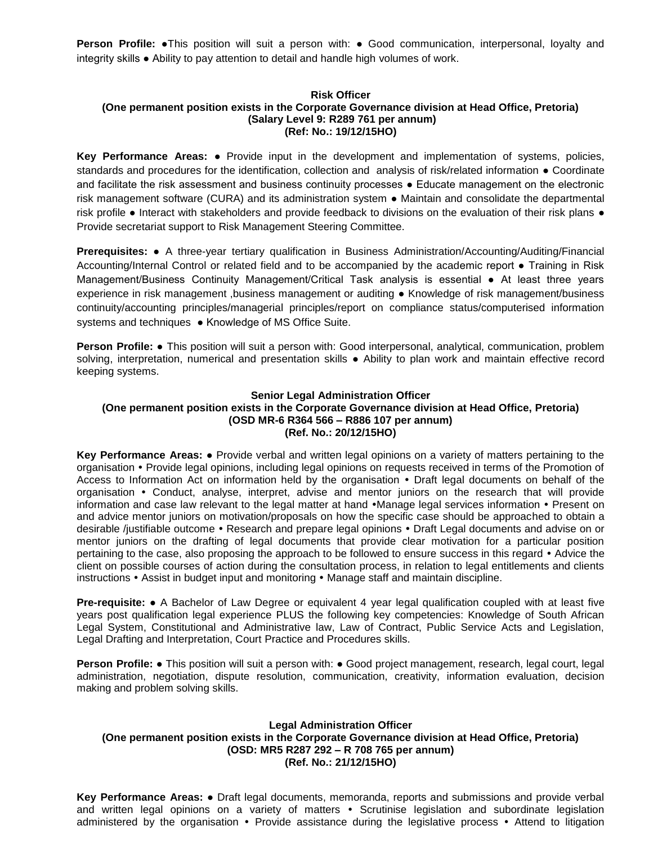**Person Profile: •**This position will suit a person with: • Good communication, interpersonal, loyalty and integrity skills ● Ability to pay attention to detail and handle high volumes of work.

### **Risk Officer (One permanent position exists in the Corporate Governance division at Head Office, Pretoria) (Salary Level 9: R289 761 per annum) (Ref: No.: 19/12/15HO)**

**Key Performance Areas:** ● Provide input in the development and implementation of systems, policies, standards and procedures for the identification, collection and analysis of risk/related information ● Coordinate and facilitate the risk assessment and business continuity processes • Educate management on the electronic risk management software (CURA) and its administration system ● Maintain and consolidate the departmental risk profile ● Interact with stakeholders and provide feedback to divisions on the evaluation of their risk plans ● Provide secretariat support to Risk Management Steering Committee.

**Prerequisites:** ● A three-year tertiary qualification in Business Administration/Accounting/Auditing/Financial Accounting/Internal Control or related field and to be accompanied by the academic report ● Training in Risk Management/Business Continuity Management/Critical Task analysis is essential ● At least three years experience in risk management ,business management or auditing ● Knowledge of risk management/business continuity/accounting principles/managerial principles/report on compliance status/computerised information systems and techniques ● Knowledge of MS Office Suite.

**Person Profile:** ● This position will suit a person with: Good interpersonal, analytical, communication, problem solving, interpretation, numerical and presentation skills • Ability to plan work and maintain effective record keeping systems.

# **Senior Legal Administration Officer (One permanent position exists in the Corporate Governance division at Head Office, Pretoria) (OSD MR-6 R364 566 – R886 107 per annum) (Ref. No.: 20/12/15HO)**

**Key Performance Areas:** ● Provide verbal and written legal opinions on a variety of matters pertaining to the organisation Provide legal opinions, including legal opinions on requests received in terms of the Promotion of Access to Information Act on information held by the organisation • Draft legal documents on behalf of the organisation Conduct, analyse, interpret, advise and mentor juniors on the research that will provide information and case law relevant to the legal matter at hand • Manage legal services information • Present on and advice mentor juniors on motivation/proposals on how the specific case should be approached to obtain a desirable /justifiable outcome • Research and prepare legal opinions • Draft Legal documents and advise on or mentor juniors on the drafting of legal documents that provide clear motivation for a particular position pertaining to the case, also proposing the approach to be followed to ensure success in this regard  $\cdot$  Advice the client on possible courses of action during the consultation process, in relation to legal entitlements and clients instructions • Assist in budget input and monitoring • Manage staff and maintain discipline.

**Pre-requisite:** ● A Bachelor of Law Degree or equivalent 4 year legal qualification coupled with at least five years post qualification legal experience PLUS the following key competencies: Knowledge of South African Legal System, Constitutional and Administrative law, Law of Contract, Public Service Acts and Legislation, Legal Drafting and Interpretation, Court Practice and Procedures skills.

**Person Profile:** • This position will suit a person with: • Good project management, research, legal court, legal administration, negotiation, dispute resolution, communication, creativity, information evaluation, decision making and problem solving skills.

# **Legal Administration Officer (One permanent position exists in the Corporate Governance division at Head Office, Pretoria) (OSD: MR5 R287 292 – R 708 765 per annum) (Ref. No.: 21/12/15HO)**

**Key Performance Areas:** ● Draft legal documents, memoranda, reports and submissions and provide verbal and written legal opinions on a variety of matters • Scrutinise legislation and subordinate legislation administered by the organisation • Provide assistance during the legislative process • Attend to litigation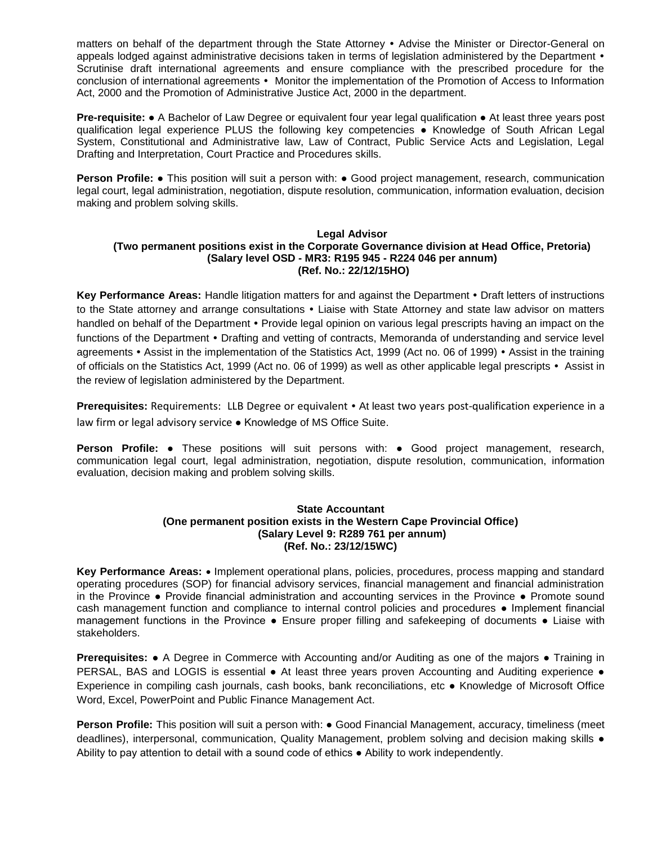matters on behalf of the department through the State Attorney • Advise the Minister or Director-General on appeals lodged against administrative decisions taken in terms of legislation administered by the Department  $\cdot$ Scrutinise draft international agreements and ensure compliance with the prescribed procedure for the conclusion of international agreements • Monitor the implementation of the Promotion of Access to Information Act, 2000 and the Promotion of Administrative Justice Act, 2000 in the department.

**Pre-requisite:** ● A Bachelor of Law Degree or equivalent four year legal qualification ● At least three years post qualification legal experience PLUS the following key competencies ● Knowledge of South African Legal System, Constitutional and Administrative law, Law of Contract, Public Service Acts and Legislation, Legal Drafting and Interpretation, Court Practice and Procedures skills.

**Person Profile:** • This position will suit a person with: • Good project management, research, communication legal court, legal administration, negotiation, dispute resolution, communication, information evaluation, decision making and problem solving skills.

#### **Legal Advisor (Two permanent positions exist in the Corporate Governance division at Head Office, Pretoria) (Salary level OSD - MR3: R195 945 - R224 046 per annum) (Ref. No.: 22/12/15HO)**

**Key Performance Areas:** Handle litigation matters for and against the Department • Draft letters of instructions to the State attorney and arrange consultations • Liaise with State Attorney and state law advisor on matters handled on behalf of the Department • Provide legal opinion on various legal prescripts having an impact on the functions of the Department • Drafting and vetting of contracts, Memoranda of understanding and service level agreements • Assist in the implementation of the Statistics Act, 1999 (Act no. 06 of 1999) • Assist in the training of officials on the Statistics Act, 1999 (Act no. 06 of 1999) as well as other applicable legal prescripts Assist in the review of legislation administered by the Department.

**Prerequisites:** Requirements: LLB Degree or equivalent  $\cdot$  At least two years post-qualification experience in a law firm or legal advisory service ● Knowledge of MS Office Suite.

**Person Profile:** ● These positions will suit persons with: ● Good project management, research, communication legal court, legal administration, negotiation, dispute resolution, communication, information evaluation, decision making and problem solving skills.

# **State Accountant (One permanent position exists in the Western Cape Provincial Office) (Salary Level 9: R289 761 per annum) (Ref. No.: 23/12/15WC)**

**Key Performance Areas:**  Implement operational plans, policies, procedures, process mapping and standard operating procedures (SOP) for financial advisory services, financial management and financial administration in the Province ● Provide financial administration and accounting services in the Province ● Promote sound cash management function and compliance to internal control policies and procedures ● Implement financial management functions in the Province • Ensure proper filling and safekeeping of documents • Liaise with stakeholders.

**Prerequisites:** ● A Degree in Commerce with Accounting and/or Auditing as one of the majors ● Training in PERSAL, BAS and LOGIS is essential ● At least three years proven Accounting and Auditing experience ● Experience in compiling cash journals, cash books, bank reconciliations, etc ● Knowledge of Microsoft Office Word, Excel, PowerPoint and Public Finance Management Act.

**Person Profile:** This position will suit a person with: ● Good Financial Management, accuracy, timeliness (meet deadlines), interpersonal, communication, Quality Management, problem solving and decision making skills ● Ability to pay attention to detail with a sound code of ethics ● Ability to work independently.